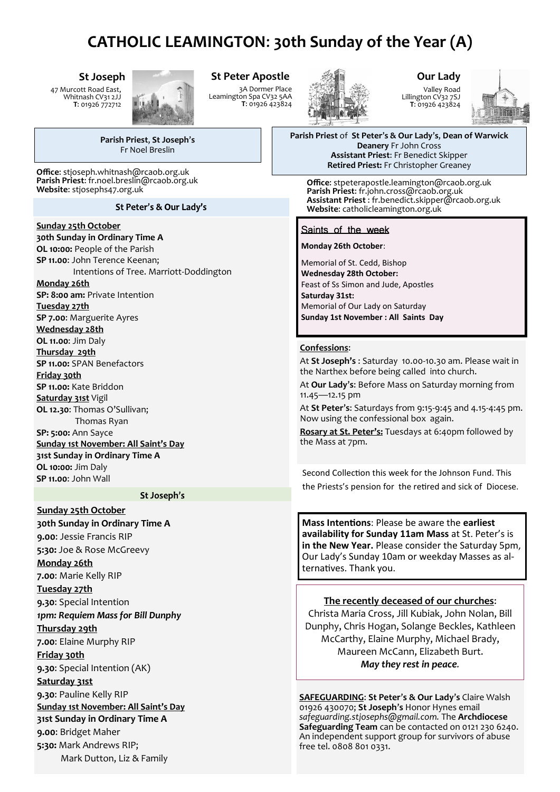# **CATHOLIC LEAMINGTON**: **30th Sunday of the Year (A)**

**St Joseph**

47 Murcott Road East, Whitnash CV31 2JJ **T**: 01926 772712



## **St Peter Apostle**

3A Dormer Place Leamington Spa CV32 5AA **T**: 01926 423824



# **Our Lady** Valley Road

Lillington CV32 7SJ **T**: 01926 423824



**Parish Priest** of **St Peter**'**s & Our Lady**'**s**, **Dean of Warwick Deanery** Fr John Cross **Assistant Priest**: Fr Benedict Skipper **Retired Priest:** Fr Christopher Greaney

**Office**: stpeterapostle.leamington@rcaob.org.uk **Parish Priest**: fr.john.cross@rcaob.org.uk **Assistant Priest** : fr.benedict.skipper@rcaob.org.uk **Website**: catholicleamington.org.uk

### Saints of the week

**Monday 26th October**:

Memorial of St. Cedd, Bishop **Wednesday 28th October:** Feast of Ss Simon and Jude, Apostles **Saturday 31st:**  Memorial of Our Lady on Saturday **Sunday 1st November : All Saints Day**

#### **Confessions**:

At **St Joseph's** : Saturday 10.00-10.30 am. Please wait in the Narthex before being called into church.

At **Our Lady**'**s**: Before Mass on Saturday morning from 11.45—12.15 pm

At **St Peter**'**s**: Saturdays from 9:15-9:45 and 4.15-4:45 pm. Now using the confessional box again.

**Rosary at St. Peter's:** Tuesdays at 6:40pm followed by the Mass at 7pm.

Second Collection this week for the Johnson Fund. This the Priests's pension for the retired and sick of Diocese.

**Mass Intentions**: Please be aware the **earliest availability for Sunday 11am Mass** at St. Peter's is **in the New Year.** Please consider the Saturday 5pm, Our Lady's Sunday 10am or weekday Masses as alternatives. Thank you.

#### **The recently deceased of our churches**:

Christa Maria Cross, Jill Kubiak, John Nolan, Bill Dunphy, Chris Hogan, Solange Beckles, Kathleen McCarthy, Elaine Murphy, Michael Brady, Maureen McCann, Elizabeth Burt. *May they rest in peace.*

**SAFEGUARDING**: **St Peter**'**s & Our Lady**'**s** Claire Walsh 01926 430070; **St Joseph**'**s** Honor Hynes email *safeguarding.stjosephs@gmail.com.* The **Archdiocese Safeguarding Team** can be contacted on 0121 230 6240. An independent support group for survivors of abuse free tel. 0808 801 0331.

**Parish Priest**, **St Joseph**'**s** Fr Noel Breslin

**Office**: stjoseph.whitnash@rcaob.org.uk **Parish Priest**: fr.noel.breslin@rcaob.org.uk **Website**: stjosephs47.org.uk

#### St Peter's & Our Lady's

#### **Sunday 25th October**

**30th Sunday in Ordinary Time A OL 10:00:** People of the Parish **SP 11.00**: John Terence Keenan; Intentions of Tree. Marriott-Doddington **Monday 26th SP: 8:00 am:** Private Intention **Tuesday 27th SP 7.00**: Marguerite Ayres **Wednesday 28th OL 11.00**: Jim Daly **Thursday 29th SP 11.00:** SPAN Benefactors **Friday 30th SP 11.00:** Kate Briddon **Saturday 31st** Vigil **OL 12.30**: Thomas O'Sullivan; Thomas Ryan **SP: 5:00:** Ann Sayce **Sunday 1st November: All Saint's Day 31st Sunday in Ordinary Time A OL 10:00:** Jim Daly **SP 11.00**: John Wall

#### St Joseph's

**Sunday 25th October 30th Sunday in Ordinary Time A 9.00**: Jessie Francis RIP **5:30:** Joe & Rose McGreevy **Monday 26th 7.00**: Marie Kelly RIP **Tuesday 27th 9.30**: Special Intention *1pm: Requiem Mass for Bill Dunphy* **Thursday 29th 7.00**: Elaine Murphy RIP **Friday 30th 9.30**: Special Intention (AK) **Saturday 31st 9.30**: Pauline Kelly RIP **Sunday 1st November: All Saint's Day 31st Sunday in Ordinary Time A 9.00**: Bridget Maher **5:30:** Mark Andrews RIP; Mark Dutton, Liz & Family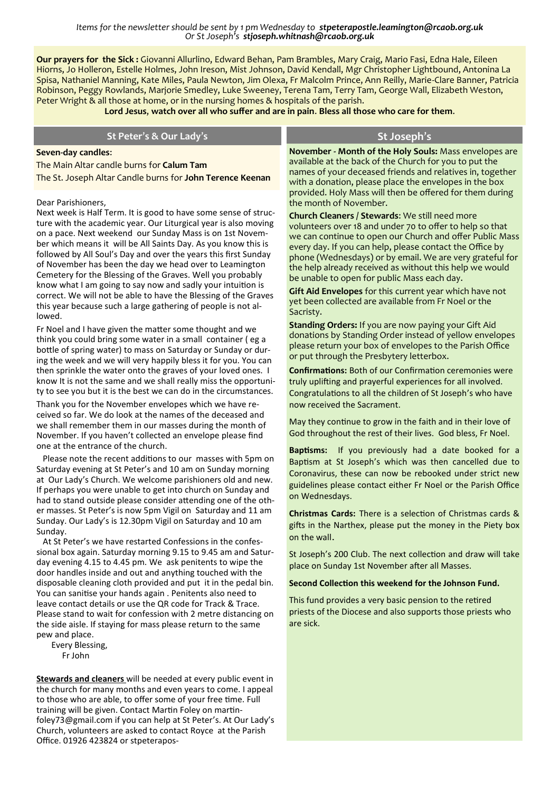*Items for the newsletter should be sent by 1 pm Wednesday to stpeterapostle.leamington@rcaob.org.uk Or St Joseph's stjoseph.whitnash@rcaob.org.uk* 

**Our prayers for the Sick :** Giovanni Allurlino, Edward Behan, Pam Brambles, Mary Craig, Mario Fasi, Edna Hale, Eileen Hiorns, Jo Holleron, Estelle Holmes, John Ireson, Mist Johnson, David Kendall, Mgr Christopher Lightbound, Antonina La Spisa, Nathaniel Manning, Kate Miles, Paula Newton, Jim Olexa, Fr Malcolm Prince, Ann Reilly, Marie-Clare Banner, Patricia Robinson, Peggy Rowlands, Marjorie Smedley, Luke Sweeney, Terena Tam, Terry Tam, George Wall, Elizabeth Weston, Peter Wright & all those at home, or in the nursing homes & hospitals of the parish.

**Lord Jesus**, **watch over all who suffer and are in pain**. **Bless all those who care for them**.